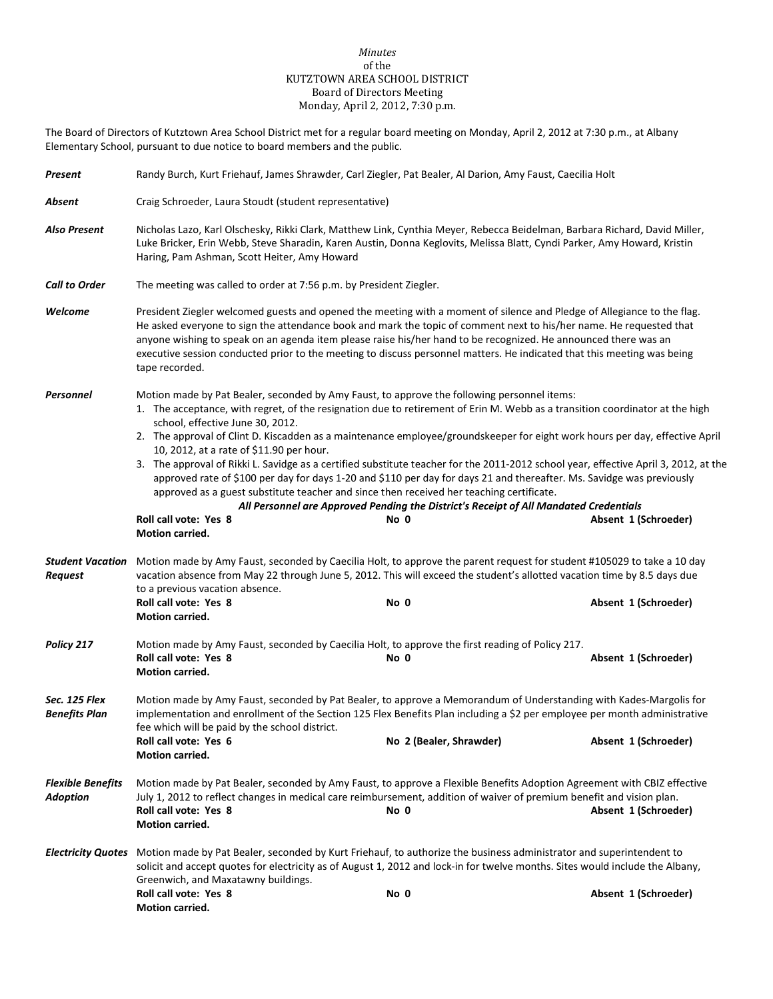## *Minutes* of the KUTZTOWN AREA SCHOOL DISTRICT Board of Directors Meeting Monday, April 2, 2012, 7:30 p.m.

The Board of Directors of Kutztown Area School District met for a regular board meeting on Monday, April 2, 2012 at 7:30 p.m., at Albany Elementary School, pursuant to due notice to board members and the public.

| Present                                     | Randy Burch, Kurt Friehauf, James Shrawder, Carl Ziegler, Pat Bealer, Al Darion, Amy Faust, Caecilia Holt                                                                                                                                                                                                                                                                                                                                                                                                                                                                                                                                                                                                                                                                                                                                                                                                                                                                    |      |                      |  |
|---------------------------------------------|------------------------------------------------------------------------------------------------------------------------------------------------------------------------------------------------------------------------------------------------------------------------------------------------------------------------------------------------------------------------------------------------------------------------------------------------------------------------------------------------------------------------------------------------------------------------------------------------------------------------------------------------------------------------------------------------------------------------------------------------------------------------------------------------------------------------------------------------------------------------------------------------------------------------------------------------------------------------------|------|----------------------|--|
| Absent                                      | Craig Schroeder, Laura Stoudt (student representative)                                                                                                                                                                                                                                                                                                                                                                                                                                                                                                                                                                                                                                                                                                                                                                                                                                                                                                                       |      |                      |  |
| <b>Also Present</b>                         | Nicholas Lazo, Karl Olschesky, Rikki Clark, Matthew Link, Cynthia Meyer, Rebecca Beidelman, Barbara Richard, David Miller,<br>Luke Bricker, Erin Webb, Steve Sharadin, Karen Austin, Donna Keglovits, Melissa Blatt, Cyndi Parker, Amy Howard, Kristin<br>Haring, Pam Ashman, Scott Heiter, Amy Howard                                                                                                                                                                                                                                                                                                                                                                                                                                                                                                                                                                                                                                                                       |      |                      |  |
| <b>Call to Order</b>                        | The meeting was called to order at 7:56 p.m. by President Ziegler.                                                                                                                                                                                                                                                                                                                                                                                                                                                                                                                                                                                                                                                                                                                                                                                                                                                                                                           |      |                      |  |
| Welcome                                     | President Ziegler welcomed guests and opened the meeting with a moment of silence and Pledge of Allegiance to the flag.<br>He asked everyone to sign the attendance book and mark the topic of comment next to his/her name. He requested that<br>anyone wishing to speak on an agenda item please raise his/her hand to be recognized. He announced there was an<br>executive session conducted prior to the meeting to discuss personnel matters. He indicated that this meeting was being<br>tape recorded.                                                                                                                                                                                                                                                                                                                                                                                                                                                               |      |                      |  |
| Personnel                                   | Motion made by Pat Bealer, seconded by Amy Faust, to approve the following personnel items:<br>1. The acceptance, with regret, of the resignation due to retirement of Erin M. Webb as a transition coordinator at the high<br>school, effective June 30, 2012.<br>2. The approval of Clint D. Kiscadden as a maintenance employee/groundskeeper for eight work hours per day, effective April<br>10, 2012, at a rate of \$11.90 per hour.<br>3. The approval of Rikki L. Savidge as a certified substitute teacher for the 2011-2012 school year, effective April 3, 2012, at the<br>approved rate of \$100 per day for days 1-20 and \$110 per day for days 21 and thereafter. Ms. Savidge was previously<br>approved as a guest substitute teacher and since then received her teaching certificate.<br>All Personnel are Approved Pending the District's Receipt of All Mandated Credentials<br>Roll call vote: Yes 8<br>Absent 1 (Schroeder)<br>No 0<br>Motion carried. |      |                      |  |
| <b>Student Vacation</b><br><b>Request</b>   | Motion made by Amy Faust, seconded by Caecilia Holt, to approve the parent request for student #105029 to take a 10 day<br>vacation absence from May 22 through June 5, 2012. This will exceed the student's allotted vacation time by 8.5 days due<br>to a previous vacation absence.<br>Roll call vote: Yes 8<br>No 0<br>Absent 1 (Schroeder)<br>Motion carried.                                                                                                                                                                                                                                                                                                                                                                                                                                                                                                                                                                                                           |      |                      |  |
| Policy 217                                  | Motion made by Amy Faust, seconded by Caecilia Holt, to approve the first reading of Policy 217.<br>Roll call vote: Yes 8<br><b>Motion carried.</b>                                                                                                                                                                                                                                                                                                                                                                                                                                                                                                                                                                                                                                                                                                                                                                                                                          | No 0 | Absent 1 (Schroeder) |  |
| Sec. 125 Flex<br><b>Benefits Plan</b>       | Motion made by Amy Faust, seconded by Pat Bealer, to approve a Memorandum of Understanding with Kades-Margolis for<br>implementation and enrollment of the Section 125 Flex Benefits Plan including a \$2 per employee per month administrative<br>fee which will be paid by the school district.<br>No 2 (Bealer, Shrawder)<br>Absent 1 (Schroeder)<br>Roll call vote: Yes 6<br>Motion carried.                                                                                                                                                                                                                                                                                                                                                                                                                                                                                                                                                                             |      |                      |  |
| <b>Flexible Benefits</b><br><b>Adoption</b> | Motion made by Pat Bealer, seconded by Amy Faust, to approve a Flexible Benefits Adoption Agreement with CBIZ effective<br>July 1, 2012 to reflect changes in medical care reimbursement, addition of waiver of premium benefit and vision plan.<br>Roll call vote: Yes 8<br>Absent 1 (Schroeder)<br>No 0<br>Motion carried.                                                                                                                                                                                                                                                                                                                                                                                                                                                                                                                                                                                                                                                 |      |                      |  |
|                                             | Electricity Quotes Motion made by Pat Bealer, seconded by Kurt Friehauf, to authorize the business administrator and superintendent to<br>solicit and accept quotes for electricity as of August 1, 2012 and lock-in for twelve months. Sites would include the Albany,<br>Greenwich, and Maxatawny buildings.<br>Roll call vote: Yes 8<br>Motion carried.                                                                                                                                                                                                                                                                                                                                                                                                                                                                                                                                                                                                                   | No 0 | Absent 1 (Schroeder) |  |